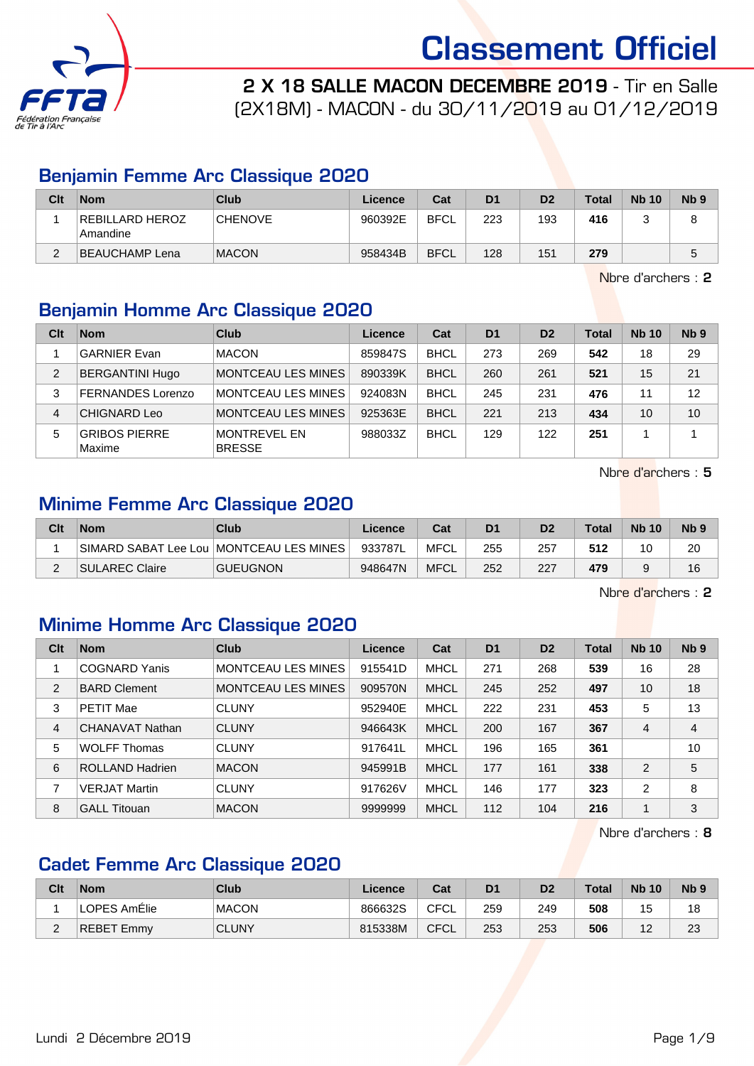

2 X 18 SALLE MACON DECEMBRE 2019 - Tir en Salle

(2X18M) - MACON - du 30/11/2019 au 01/12/2019

#### Benjamin Femme Arc Classique 2020

| Clt | <b>Nom</b>                    | Club           | Licence | Cat         | D <sub>1</sub> | D <sub>2</sub> | <b>Total</b> | <b>Nb 10</b> | Nb <sub>9</sub> |
|-----|-------------------------------|----------------|---------|-------------|----------------|----------------|--------------|--------------|-----------------|
|     | REBILLARD HEROZ<br>  Amandine | <b>CHENOVE</b> | 960392E | <b>BFCL</b> | 223            | 193            | 416          |              |                 |
| ⌒   | BEAUCHAMP Lena                | <b>MACON</b>   | 958434B | <b>BFCL</b> | 128            | 151            | 279          |              |                 |

Nbre d'archers : 2

#### Benjamin Homme Arc Classique 2020

| Clt | <b>Nom</b>                     | Club                                 | Licence | Cat         | D <sub>1</sub> | D <sub>2</sub> | <b>Total</b> | <b>Nb 10</b> | Nb <sub>9</sub> |
|-----|--------------------------------|--------------------------------------|---------|-------------|----------------|----------------|--------------|--------------|-----------------|
|     | <b>GARNIER Evan</b>            | <b>MACON</b>                         | 859847S | <b>BHCL</b> | 273            | 269            | 542          | 18           | 29              |
| 2   | <b>BERGANTINI Hugo</b>         | MONTCEAU LES MINES                   | 890339K | <b>BHCL</b> | 260            | 261            | 521          | 15           | 21              |
| 3   | <b>FERNANDES Lorenzo</b>       | MONTCEAU LES MINES                   | 924083N | <b>BHCL</b> | 245            | 231            | 476          | 11           | 12              |
| 4   | <b>CHIGNARD Leo</b>            | MONTCEAU LES MINES                   | 925363E | <b>BHCL</b> | 221            | 213            | 434          | 10           | 10              |
| 5   | <b>GRIBOS PIERRE</b><br>Maxime | <b>MONTREVEL EN</b><br><b>BRESSE</b> | 988033Z | <b>BHCL</b> | 129            | 122            | 251          |              |                 |

Nbre d'archers : 5

#### Minime Femme Arc Classique 2020

| Clt | <b>Nom</b>     | Club                                      | Licence | Cat         | D <sub>1</sub> | D2  | <b>Total</b> | <b>Nb 10</b> | <b>N<sub>b</sub></b> |
|-----|----------------|-------------------------------------------|---------|-------------|----------------|-----|--------------|--------------|----------------------|
|     |                | SIMARD SABAT Lee Lou   MONTCEAU LES MINES | 933787L | MFCL        | 255            | 257 | 512          | 10           | 20                   |
| -   | SULAREC Claire | <b>GUEUGNON</b>                           | 948647N | <b>MFCL</b> | 252            | 227 | 479          |              | 16                   |

Nbre d'archers : 2

#### Minime Homme Arc Classique 2020

| Clt | <b>Nom</b>             | Club                      | Licence | Cat         | D <sub>1</sub> | D <sub>2</sub> | <b>Total</b> | <b>Nb 10</b>   | Nb <sub>9</sub> |
|-----|------------------------|---------------------------|---------|-------------|----------------|----------------|--------------|----------------|-----------------|
| 1   | <b>COGNARD Yanis</b>   | <b>MONTCEAU LES MINES</b> | 915541D | MHCL        | 271            | 268            | 539          | 16             | 28              |
| 2   | <b>BARD Clement</b>    | <b>MONTCEAU LES MINES</b> | 909570N | <b>MHCL</b> | 245            | 252            | 497          | 10             | 18              |
| 3   | <b>PETIT Mae</b>       | <b>CLUNY</b>              | 952940E | MHCL        | 222            | 231            | 453          | 5              | 13              |
| 4   | CHANAVAT Nathan        | <b>CLUNY</b>              | 946643K | <b>MHCL</b> | 200            | 167            | 367          | 4              | 4               |
| 5   | <b>WOLFF Thomas</b>    | <b>CLUNY</b>              | 917641L | MHCL        | 196            | 165            | 361          |                | 10              |
| 6   | <b>ROLLAND Hadrien</b> | <b>MACON</b>              | 945991B | <b>MHCL</b> | 177            | 161            | 338          | $\overline{2}$ | 5               |
| 7   | <b>VERJAT Martin</b>   | <b>CLUNY</b>              | 917626V | MHCL        | 146            | 177            | 323          | $\overline{2}$ | 8               |
| 8   | <b>GALL Titouan</b>    | <b>MACON</b>              | 9999999 | <b>MHCL</b> | 112            | 104            | 216          | 4              | 3               |

Nbre d'archers : 8

#### Cadet Femme Arc Classique 2020

| Clt    | <b>Nom</b>        | Club         | ∟icence | Cat         | D <sub>1</sub> | D <sub>2</sub> | <b>Total</b> | <b>Nb 10</b>    | Nb <sub>5</sub> |
|--------|-------------------|--------------|---------|-------------|----------------|----------------|--------------|-----------------|-----------------|
|        | LOPES AmElie      | <b>MACON</b> | 866632S | <b>CFCL</b> | 259            | 249            | 508          | 15              | 18              |
| ⌒<br>L | <b>REBET Emmy</b> | <b>CLUNY</b> | 815338M | CFCL        | 253            | 253            | 506          | $\sqrt{2}$<br>- | 23              |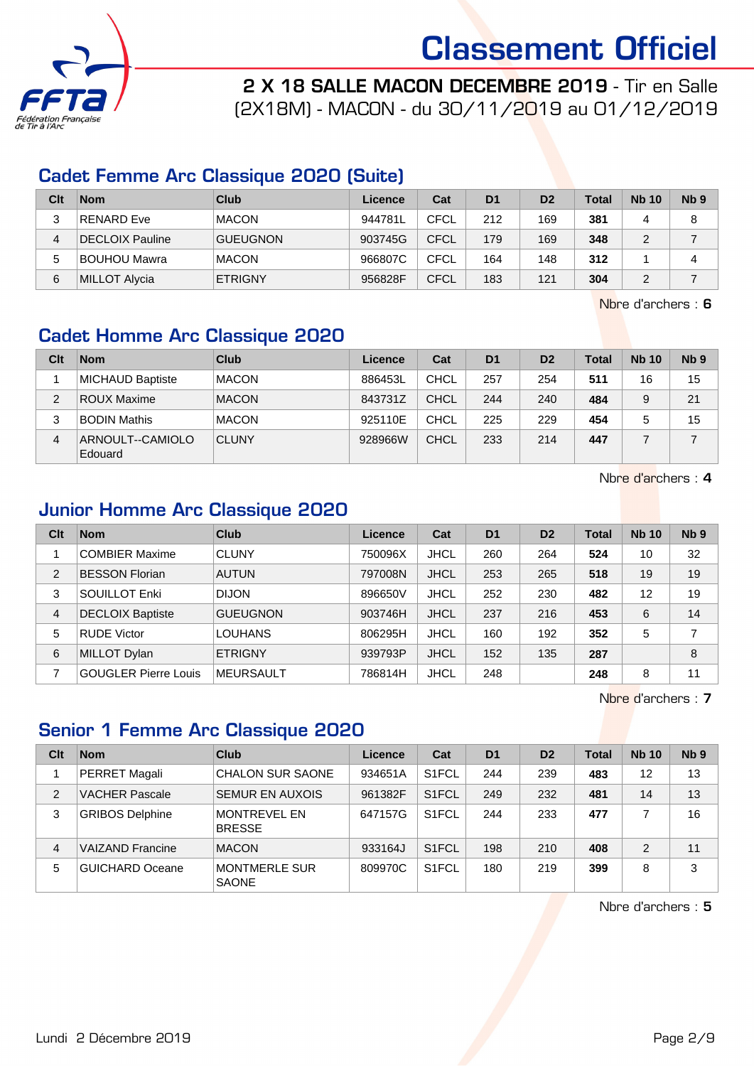

2 X 18 SALLE MACON DECEMBRE 2019 - Tir en Salle

(2X18M) - MACON - du 30/11/2019 au 01/12/2019

#### Cadet Femme Arc Classique 2020 (Suite)

| Clt | <b>Nom</b>             | Club            | Licence | Cat         | D <sub>1</sub> | D <sub>2</sub> | Total | <b>Nb 10</b> | Nb <sub>9</sub> |
|-----|------------------------|-----------------|---------|-------------|----------------|----------------|-------|--------------|-----------------|
|     | <b>RENARD Eve</b>      | <b>MACON</b>    | 944781L | CFCL        | 212            | 169            | 381   |              | 8               |
| 4   | <b>DECLOIX Pauline</b> | <b>GUEUGNON</b> | 903745G | <b>CFCL</b> | 179            | 169            | 348   |              |                 |
| 5   | <b>BOUHOU Mawra</b>    | <b>MACON</b>    | 966807C | CFCL        | 164            | 148            | 312   |              |                 |
| 6   | MILLOT Alycia          | <b>ETRIGNY</b>  | 956828F | <b>CFCL</b> | 183            | 121            | 304   |              |                 |

Nbre d'archers : 6

### Cadet Homme Arc Classique 2020

| Clt           | <b>Nom</b>                  | Club         | Licence | Cat         | D <sub>1</sub> | D <sub>2</sub> | <b>Total</b> | <b>Nb 10</b> | N <sub>b</sub> <sub>9</sub> |
|---------------|-----------------------------|--------------|---------|-------------|----------------|----------------|--------------|--------------|-----------------------------|
|               | MICHAUD Baptiste            | <b>MACON</b> | 886453L | <b>CHCL</b> | 257            | 254            | 511          | 16           | 15                          |
| $\mathcal{P}$ | <b>ROUX Maxime</b>          | <b>MACON</b> | 843731Z | <b>CHCL</b> | 244            | 240            | 484          | 9            | 21                          |
| 3             | <b>BODIN Mathis</b>         | <b>MACON</b> | 925110E | <b>CHCL</b> | 225            | 229            | 454          | 5            | 15                          |
| 4             | ARNOULT--CAMIOLO<br>Edouard | <b>CLUNY</b> | 928966W | CHCL        | 233            | 214            | 447          |              |                             |

Nbre d'archers : 4

#### Junior Homme Arc Classique 2020

| Clt            | <b>Nom</b>                  | <b>Club</b>      | Licence | Cat         | D <sub>1</sub> | D <sub>2</sub> | <b>Total</b> | <b>Nb 10</b> | Nb <sub>9</sub> |
|----------------|-----------------------------|------------------|---------|-------------|----------------|----------------|--------------|--------------|-----------------|
|                | <b>COMBIER Maxime</b>       | <b>CLUNY</b>     | 750096X | <b>JHCL</b> | 260            | 264            | 524          | 10           | 32              |
| $\overline{2}$ | <b>BESSON Florian</b>       | <b>AUTUN</b>     | 797008N | <b>JHCL</b> | 253            | 265            | 518          | 19           | 19              |
| 3              | SOUILLOT Enki               | <b>DIJON</b>     | 896650V | <b>JHCL</b> | 252            | 230            | 482          | 12           | 19              |
| $\overline{4}$ | <b>DECLOIX Baptiste</b>     | <b>GUEUGNON</b>  | 903746H | <b>JHCL</b> | 237            | 216            | 453          | 6            | 14              |
| 5              | <b>RUDE Victor</b>          | <b>LOUHANS</b>   | 806295H | <b>JHCL</b> | 160            | 192            | 352          | 5            | 7               |
| 6              | MILLOT Dylan                | <b>ETRIGNY</b>   | 939793P | <b>JHCL</b> | 152            | 135            | 287          |              | 8               |
|                | <b>GOUGLER Pierre Louis</b> | <b>MEURSAULT</b> | 786814H | <b>JHCL</b> | 248            |                | 248          | 8            | 11              |

Nbre d'archers : 7

#### Senior 1 Femme Arc Classique 2020

| Clt            | <b>Nom</b>              | Club                                 | Licence | Cat                | D <sub>1</sub> | D <sub>2</sub> | <b>Total</b> | <b>Nb 10</b> | N <sub>b</sub> <sub>9</sub> |
|----------------|-------------------------|--------------------------------------|---------|--------------------|----------------|----------------|--------------|--------------|-----------------------------|
|                | PERRET Magali           | <b>CHALON SUR SAONE</b>              | 934651A | S <sub>1</sub> FCL | 244            | 239            | 483          | 12           | 13                          |
| 2              | <b>VACHER Pascale</b>   | <b>SEMUR EN AUXOIS</b>               | 961382F | S <sub>1</sub> FCL | 249            | 232            | 481          | 14           | 13                          |
| 3              | <b>GRIBOS Delphine</b>  | <b>MONTREVEL EN</b><br><b>BRESSE</b> | 647157G | S <sub>1</sub> FCL | 244            | 233            | 477          |              | 16                          |
| $\overline{4}$ | <b>VAIZAND Francine</b> | <b>MACON</b>                         | 933164J | S <sub>1</sub> FCL | 198            | 210            | 408          | 2            | 11                          |
| 5              | <b>GUICHARD Oceane</b>  | <b>MONTMERLE SUR</b><br><b>SAONE</b> | 809970C | S <sub>1</sub> FCL | 180            | 219            | 399          | 8            | 3                           |

Nbre d'archers : 5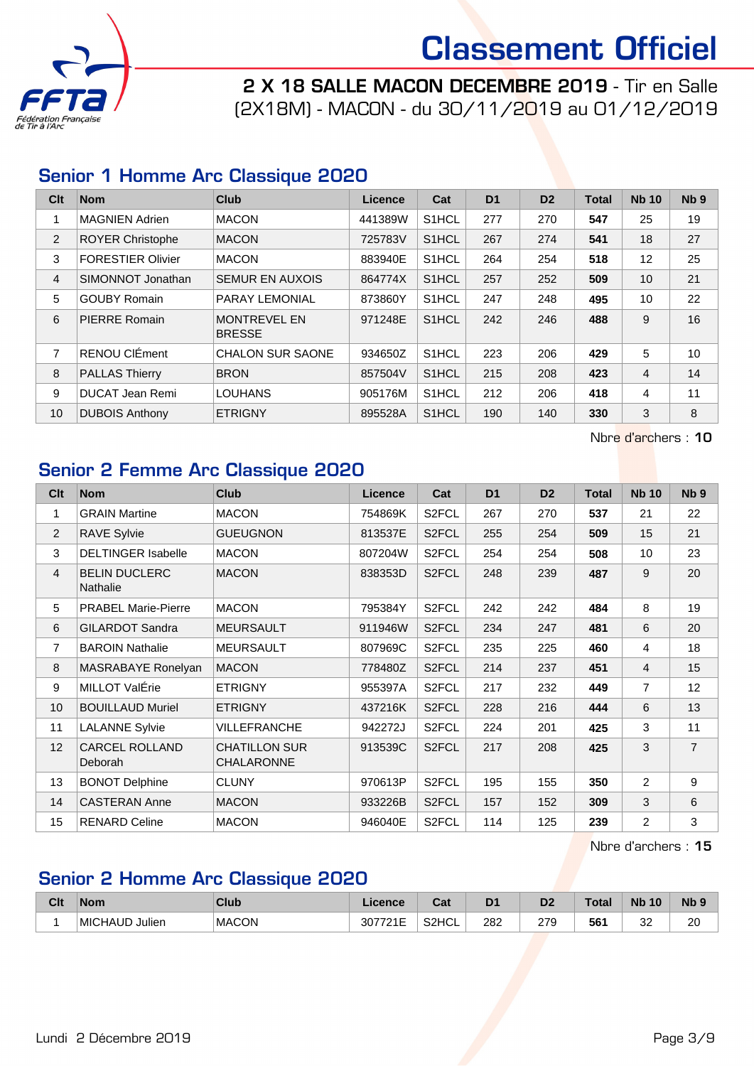

2 X 18 SALLE MACON DECEMBRE 2019 - Tir en Salle (2X18M) - MACON - du 30/11/2019 au 01/12/2019

#### Senior 1 Homme Arc Classique 2020

| Clt | <b>Nom</b>               | Club                                 | Licence | Cat                | D <sub>1</sub> | D <sub>2</sub> | <b>Total</b> | <b>Nb 10</b>   | Nb <sub>9</sub> |
|-----|--------------------------|--------------------------------------|---------|--------------------|----------------|----------------|--------------|----------------|-----------------|
|     | <b>MAGNIEN Adrien</b>    | <b>MACON</b>                         | 441389W | S <sub>1</sub> HCL | 277            | 270            | 547          | 25             | 19              |
| 2   | <b>ROYER Christophe</b>  | <b>MACON</b>                         | 725783V | S <sub>1</sub> HCL | 267            | 274            | 541          | 18             | 27              |
| 3   | <b>FORESTIER Olivier</b> | <b>MACON</b>                         | 883940E | S <sub>1</sub> HCL | 264            | 254            | 518          | 12             | 25              |
| 4   | SIMONNOT Jonathan        | <b>SEMUR EN AUXOIS</b>               | 864774X | S <sub>1</sub> HCL | 257            | 252            | 509          | 10             | 21              |
| 5   | <b>GOUBY Romain</b>      | PARAY LEMONIAL                       | 873860Y | S <sub>1</sub> HCL | 247            | 248            | 495          | 10             | 22              |
| 6   | PIERRE Romain            | <b>MONTREVEL EN</b><br><b>BRESSE</b> | 971248E | S1HCL              | 242            | 246            | 488          | 9              | 16              |
| 7   | RENOU CIÉment            | <b>CHALON SUR SAONE</b>              | 934650Z | S <sub>1</sub> HCL | 223            | 206            | 429          | 5              | 10              |
| 8   | <b>PALLAS Thierry</b>    | <b>BRON</b>                          | 857504V | S <sub>1</sub> HCL | 215            | 208            | 423          | $\overline{4}$ | 14              |
| 9   | <b>DUCAT Jean Remi</b>   | <b>LOUHANS</b>                       | 905176M | S1HCL              | 212            | 206            | 418          | 4              | 11              |
| 10  | <b>DUBOIS Anthony</b>    | <b>ETRIGNY</b>                       | 895528A | S1HCL              | 190            | 140            | 330          | 3              | 8               |

Nbre d'archers : 10

#### Senior 2 Femme Arc Classique 2020

| Clt            | <b>Nom</b>                              | <b>Club</b>                               | <b>Licence</b> | Cat                | D <sub>1</sub> | D <sub>2</sub> | <b>Total</b> | <b>Nb 10</b>   | N <sub>b</sub> <sub>9</sub> |
|----------------|-----------------------------------------|-------------------------------------------|----------------|--------------------|----------------|----------------|--------------|----------------|-----------------------------|
| 1              | <b>GRAIN Martine</b>                    | <b>MACON</b>                              | 754869K        | S <sub>2</sub> FCL | 267            | 270            | 537          | 21             | 22                          |
| 2              | <b>RAVE Sylvie</b>                      | <b>GUEUGNON</b>                           | 813537E        | S <sub>2</sub> FCL | 255            | 254            | 509          | 15             | 21                          |
| 3              | <b>DELTINGER Isabelle</b>               | <b>MACON</b>                              | 807204W        | S <sub>2</sub> FCL | 254            | 254            | 508          | 10             | 23                          |
| $\overline{4}$ | <b>BELIN DUCLERC</b><br><b>Nathalie</b> | <b>MACON</b>                              | 838353D        | S2FCL              | 248            | 239            | 487          | 9              | 20                          |
| 5              | <b>PRABEL Marie-Pierre</b>              | <b>MACON</b>                              | 795384Y        | S2FCL              | 242            | 242            | 484          | 8              | 19                          |
| 6              | <b>GILARDOT Sandra</b>                  | <b>MEURSAULT</b>                          | 911946W        | S <sub>2</sub> FCL | 234            | 247            | 481          | 6              | 20                          |
| $\overline{7}$ | <b>BAROIN Nathalie</b>                  | <b>MEURSAULT</b>                          | 807969C        | S2FCL              | 235            | 225            | 460          | $\overline{4}$ | 18                          |
| 8              | MASRABAYE Ronelyan                      | <b>MACON</b>                              | 778480Z        | S2FCL              | 214            | 237            | 451          | $\overline{4}$ | 15                          |
| 9              | MILLOT ValÉrie                          | <b>ETRIGNY</b>                            | 955397A        | S2FCL              | 217            | 232            | 449          | $\overline{7}$ | 12                          |
| 10             | <b>BOUILLAUD Muriel</b>                 | <b>ETRIGNY</b>                            | 437216K        | S2FCL              | 228            | 216            | 444          | 6              | 13                          |
| 11             | <b>LALANNE Sylvie</b>                   | <b>VILLEFRANCHE</b>                       | 942272J        | S2FCL              | 224            | 201            | 425          | 3              | 11                          |
| 12             | <b>CARCEL ROLLAND</b><br>Deborah        | <b>CHATILLON SUR</b><br><b>CHALARONNE</b> | 913539C        | S2FCL              | 217            | 208            | 425          | 3              | $\overline{7}$              |
| 13             | <b>BONOT Delphine</b>                   | <b>CLUNY</b>                              | 970613P        | S2FCL              | 195            | 155            | 350          | 2              | 9                           |
| 14             | <b>CASTERAN Anne</b>                    | <b>MACON</b>                              | 933226B        | S <sub>2</sub> FCL | 157            | 152            | 309          | 3              | 6                           |
| 15             | <b>RENARD Celine</b>                    | <b>MACON</b>                              | 946040E        | S2FCL              | 114            | 125            | 239          | $\overline{2}$ | 3                           |

Nbre d'archers : 15

#### Senior 2 Homme Arc Classique 2020

| Clt | <b>Nom</b>     | Club         | <b>Licence</b>     | <b>Pat</b><br>val | D <sup>1</sup> | D <sub>2</sub> | <b>Total</b> | <b>Nb</b><br>10 | <b>Nb</b> |
|-----|----------------|--------------|--------------------|-------------------|----------------|----------------|--------------|-----------------|-----------|
|     | MICHAUD Julien | <b>MACON</b> | -- - -<br>30.<br>. | S2HCL             | 282<br>$ -$    | 279            | 561          | $\sim$<br>ےں    | 20        |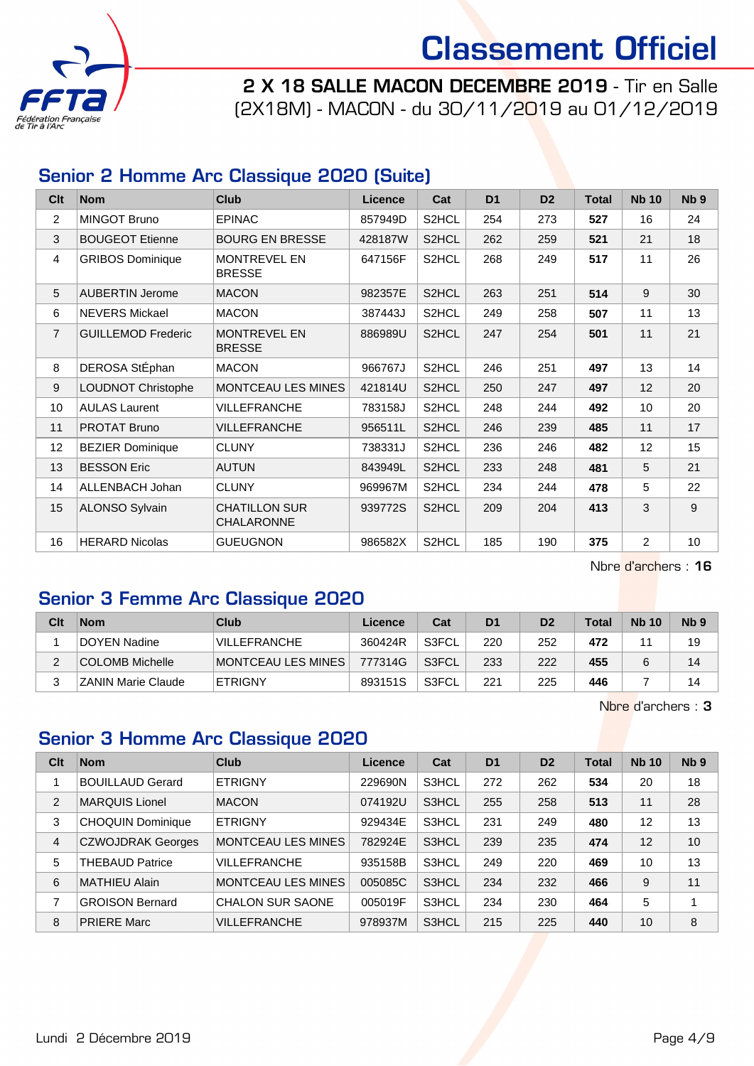

2 X 18 SALLE MACON DECEMBRE 2019 - Tir en Salle (2X18M) - MACON - du 30/11/2019 au 01/12/2019

#### Senior 2 Homme Arc Classique 2020 (Suite)

| Clt             | <b>Nom</b>                | Club                                      | Licence | Cat                | D <sub>1</sub> | D <sub>2</sub> | <b>Total</b> | <b>Nb 10</b>   | Nb <sub>9</sub> |
|-----------------|---------------------------|-------------------------------------------|---------|--------------------|----------------|----------------|--------------|----------------|-----------------|
| 2               | <b>MINGOT Bruno</b>       | <b>EPINAC</b>                             | 857949D | S <sub>2</sub> HCL | 254            | 273            | 527          | 16             | 24              |
| 3               | <b>BOUGEOT Etienne</b>    | <b>BOURG EN BRESSE</b>                    | 428187W | S <sub>2</sub> HCL | 262            | 259            | 521          | 21             | 18              |
| 4               | <b>GRIBOS Dominique</b>   | <b>MONTREVEL EN</b><br><b>BRESSE</b>      | 647156F | S2HCL              | 268            | 249            | 517          | 11             | 26              |
| 5               | <b>AUBERTIN Jerome</b>    | <b>MACON</b>                              | 982357E | S2HCL              | 263            | 251            | 514          | 9              | 30              |
| 6               | <b>NEVERS Mickael</b>     | <b>MACON</b>                              | 387443J | S2HCL              | 249            | 258            | 507          | 11             | 13              |
| $\overline{7}$  | <b>GUILLEMOD Frederic</b> | <b>MONTREVEL EN</b><br><b>BRESSE</b>      | 886989U | S2HCL              | 247            | 254            | 501          | 11             | 21              |
| 8               | DEROSA StÉphan            | <b>MACON</b>                              | 966767J | S2HCL              | 246            | 251            | 497          | 13             | 14              |
| 9               | <b>LOUDNOT Christophe</b> | MONTCEAU LES MINES                        | 421814U | S2HCL              | 250            | 247            | 497          | 12             | 20              |
| 10              | <b>AULAS Laurent</b>      | <b>VILLEFRANCHE</b>                       | 783158J | S2HCL              | 248            | 244            | 492          | 10             | 20              |
| 11              | <b>PROTAT Bruno</b>       | <b>VILLEFRANCHE</b>                       | 956511L | S2HCL              | 246            | 239            | 485          | 11             | 17              |
| 12 <sub>2</sub> | <b>BEZIER Dominique</b>   | <b>CLUNY</b>                              | 738331J | S <sub>2</sub> HCL | 236            | 246            | 482          | 12             | 15              |
| 13              | <b>BESSON Eric</b>        | <b>AUTUN</b>                              | 843949L | S2HCL              | 233            | 248            | 481          | 5              | 21              |
| 14              | ALLENBACH Johan           | <b>CLUNY</b>                              | 969967M | S2HCL              | 234            | 244            | 478          | 5              | 22              |
| 15              | <b>ALONSO Sylvain</b>     | <b>CHATILLON SUR</b><br><b>CHALARONNE</b> | 939772S | S2HCL              | 209            | 204            | 413          | 3              | 9               |
| 16              | <b>HERARD Nicolas</b>     | <b>GUEUGNON</b>                           | 986582X | S2HCL              | 185            | 190            | 375          | $\overline{2}$ | 10              |

Nbre d'archers : 16

### Senior 3 Femme Arc Classique 2020

| Clt | <b>Nom</b>                | Club                  | Licence | Cat   | D <sub>1</sub> | D <sub>2</sub> | <b>Total</b> | <b>Nb 10</b> | N <sub>b</sub> <sub>9</sub> |
|-----|---------------------------|-----------------------|---------|-------|----------------|----------------|--------------|--------------|-----------------------------|
|     | DOYEN Nadine              | VILLEFRANCHE          | 360424R | S3FCL | 220            | 252            | 472          | 4.           | 19                          |
|     | <b>COLOMB Michelle</b>    | ∣MONTCEAU LES MINES ∣ | 777314G | S3FCL | 233            | 222            | 455          |              | 14                          |
|     | <b>ZANIN Marie Claude</b> | <b>ETRIGNY</b>        | 893151S | S3FCL | 221            | 225            | 446          |              | 14                          |

Nbre d'archers : 3

#### Senior 3 Homme Arc Classique 2020

| Clt            | <b>Nom</b>               | Club                      | Licence | Cat   | D <sub>1</sub> | D <sub>2</sub> | <b>Total</b> | <b>Nb 10</b> | Nb <sub>9</sub> |
|----------------|--------------------------|---------------------------|---------|-------|----------------|----------------|--------------|--------------|-----------------|
|                | <b>BOUILLAUD Gerard</b>  | <b>ETRIGNY</b>            | 229690N | S3HCL | 272            | 262            | 534          | 20           | 18              |
| $\overline{2}$ | <b>MARQUIS Lionel</b>    | <b>MACON</b>              | 074192U | S3HCL | 255            | 258            | 513          | 11           | 28              |
| 3              | <b>CHOQUIN Dominique</b> | <b>ETRIGNY</b>            | 929434E | S3HCL | 231            | 249            | 480          | 12           | 13              |
| $\overline{4}$ | <b>CZWOJDRAK Georges</b> | <b>MONTCEAU LES MINES</b> | 782924E | S3HCL | 239            | 235            | 474          | 12           | 10              |
| 5              | <b>THEBAUD Patrice</b>   | <b>VILLEFRANCHE</b>       | 935158B | S3HCL | 249            | 220            | 469          | 10           | 13              |
| 6              | MATHIEU Alain            | MONTCEAU LES MINES        | 005085C | S3HCL | 234            | 232            | 466          | 9            | 11              |
| 7              | <b>GROISON Bernard</b>   | <b>CHALON SUR SAONE</b>   | 005019F | S3HCL | 234            | 230            | 464          | 5            | 4               |
| 8              | <b>PRIERE Marc</b>       | <b>VILLEFRANCHE</b>       | 978937M | S3HCL | 215            | 225            | 440          | 10           | 8               |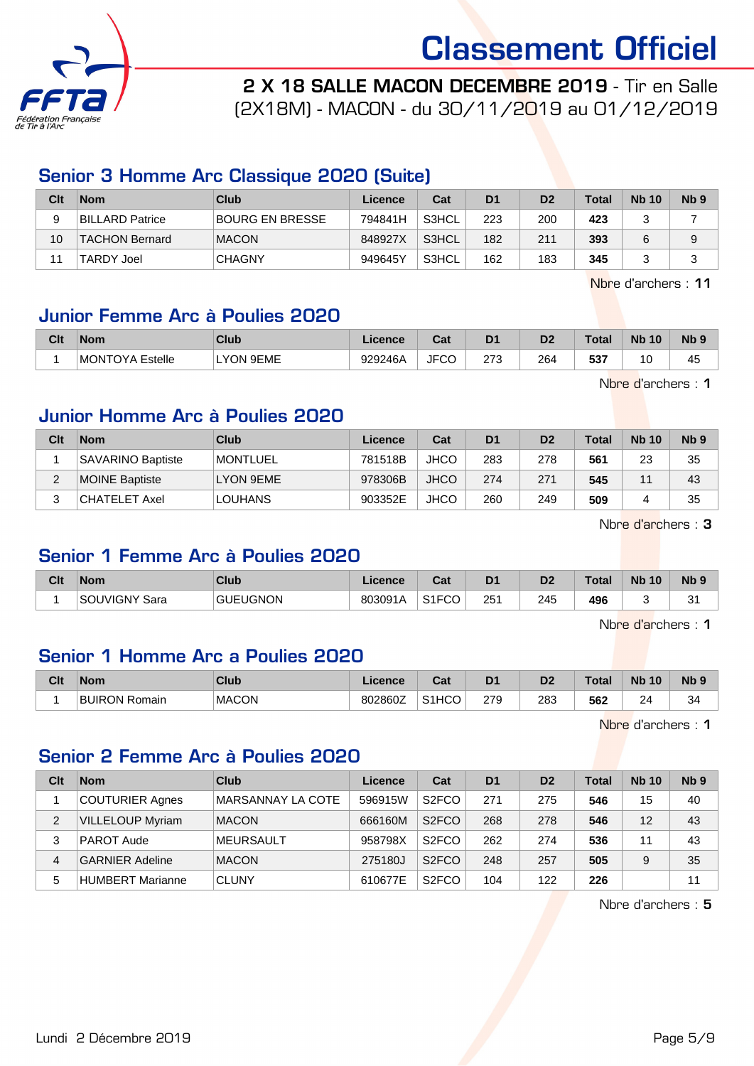

2 X 18 SALLE MACON DECEMBRE 2019 - Tir en Salle

(2X18M) - MACON - du 30/11/2019 au 01/12/2019

#### Senior 3 Homme Arc Classique 2020 (Suite)

| Clt | <b>Nom</b>        | Club            | Licence | Cat   | D <sub>1</sub> | D <sub>2</sub> | <b>Total</b> | <b>Nb 10</b> | N <sub>b</sub> <sub>9</sub> |
|-----|-------------------|-----------------|---------|-------|----------------|----------------|--------------|--------------|-----------------------------|
| 9   | BILLARD Patrice   | BOURG EN BRESSE | 794841H | S3HCL | 223            | 200            | 423          |              |                             |
| 10  | TACHON Bernard    | <b>MACON</b>    | 848927X | S3HCL | 182            | 211            | 393          |              | 9                           |
|     | <b>TARDY Joel</b> | <b>CHAGNY</b>   | 949645Y | S3HCL | 162            | 183            | 345          |              | J                           |

Nbre d'archers : 11

#### Junior Femme Arc à Poulies 2020

| Clt | <b>Nom</b>             | <b>Club</b> | Licence | $\sim$<br>⊍⊿ | D <sub>1</sub> | D <sub>2</sub> | Total | <b>Nb</b><br>10 | N <sub>b</sub> <sub>9</sub> |
|-----|------------------------|-------------|---------|--------------|----------------|----------------|-------|-----------------|-----------------------------|
|     | <b>MONTOYA Estelle</b> | LYON 9EME   | 929246A | <b>JFCC</b>  | הדה<br>د ، ∠   | 264<br>__      | 537   | 10              | . .<br>45                   |

Nbre d'archers : 1

#### Junior Homme Arc à Poulies 2020

| Clt | <b>Nom</b>               | Club            | Licence | Cat         | D <sub>1</sub> | D <sub>2</sub> | <b>Total</b> | <b>Nb 10</b> | N <sub>b</sub> <sub>9</sub> |
|-----|--------------------------|-----------------|---------|-------------|----------------|----------------|--------------|--------------|-----------------------------|
|     | <b>SAVARINO Baptiste</b> | <b>MONTLUEL</b> | 781518B | <b>JHCO</b> | 283            | 278            | 561          | 23           | 35                          |
| C   | MOINE Baptiste           | LYON 9EME       | 978306B | <b>JHCO</b> | 274            | 271            | 545          | 44           | 43                          |
| ≏   | CHATELET Axel            | <b>LOUHANS</b>  | 903352E | <b>JHCO</b> | 260            | 249            | 509          |              | 35                          |

Nbre d'archers : 3

#### Senior 1 Femme Arc à Poulies 2020

| Clt | <b>Nom</b>           | Club            | Licence | ◠∼<br>uau                         | D <sub>1</sub> | D <sub>2</sub> | Total | <b>Nb</b><br>10 | N <sub>b</sub> <sub>9</sub> |
|-----|----------------------|-----------------|---------|-----------------------------------|----------------|----------------|-------|-----------------|-----------------------------|
|     | <b>SOUVIGNY Sara</b> | <b>GUEUGNON</b> | 803091A | $\sim$ $\sim$ $\sim$<br>־טט<br>ບ⊥ | 25′            | 245            | 496   |                 | $\sim$<br>ັ                 |

Nbre d'archers : 1

#### Senior 1 Homme Arc a Poulies 2020

| Clt | <b>Nom</b>                | <b>Club</b>  | Licence | <b>Take</b><br>udl | D <sup>1</sup> | D <sub>2</sub> | Total | <b>Nb</b><br>10            | N <sub>b</sub> <sub>9</sub> |
|-----|---------------------------|--------------|---------|--------------------|----------------|----------------|-------|----------------------------|-----------------------------|
|     | <b>BUIRON</b><br>` Romain | <b>MACON</b> | 802860Z | S <sub>1</sub> HCO | 279            | 283            | 562   | 2 <sub>A</sub><br><u>.</u> | 34                          |

Nbre d'archers : 1

#### Senior 2 Femme Arc à Poulies 2020

| Clt | <b>Nom</b>              | Club              | Licence | Cat                | D <sub>1</sub> | D <sub>2</sub> | <b>Total</b> | <b>Nb 10</b> | Nb <sub>9</sub> |
|-----|-------------------------|-------------------|---------|--------------------|----------------|----------------|--------------|--------------|-----------------|
|     | <b>COUTURIER Agnes</b>  | MARSANNAY LA COTE | 596915W | S <sub>2</sub> FCO | 271            | 275            | 546          | 15           | 40              |
| 2   | <b>VILLELOUP Myriam</b> | <b>MACON</b>      | 666160M | S <sub>2</sub> FCO | 268            | 278            | 546          | 12           | 43              |
| 3   | PAROT Aude              | <b>MEURSAULT</b>  | 958798X | S <sub>2</sub> FCO | 262            | 274            | 536          | 11           | 43              |
| 4   | <b>GARNIER Adeline</b>  | <b>MACON</b>      | 275180J | S <sub>2</sub> FCO | 248            | 257            | 505          | 9            | 35              |
| 5   | <b>HUMBERT Marianne</b> | <b>CLUNY</b>      | 610677E | S <sub>2</sub> FCO | 104            | 122            | 226          |              | 11              |

Nbre d'archers : 5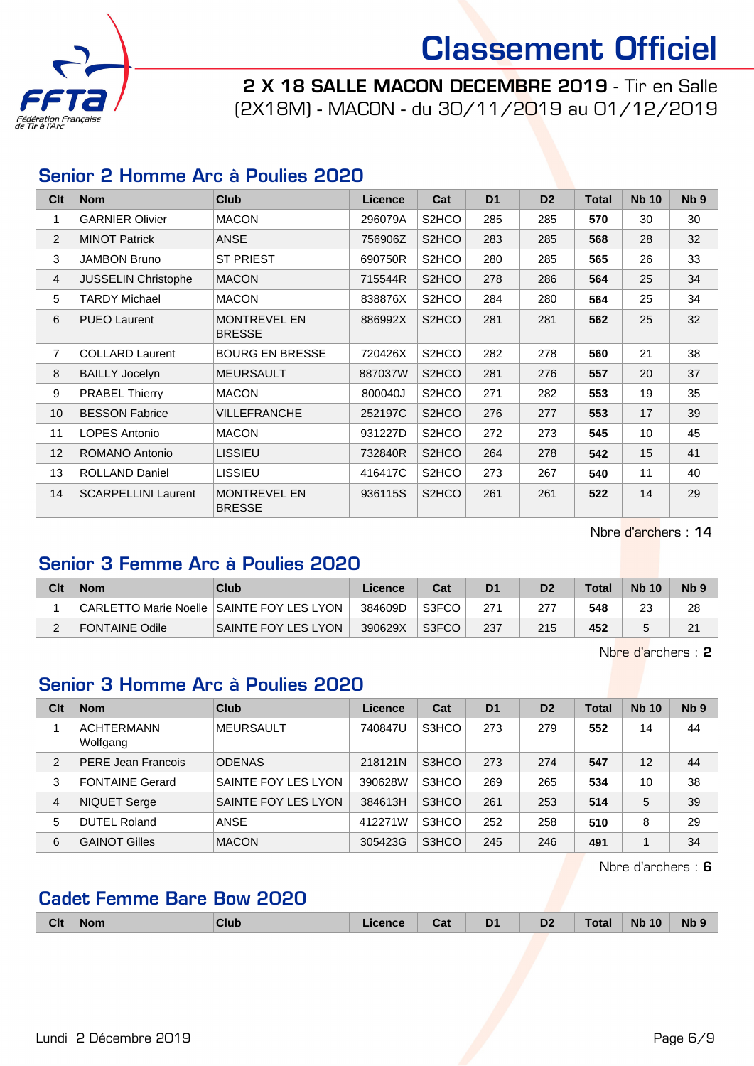

2 X 18 SALLE MACON DECEMBRE 2019 - Tir en Salle (2X18M) - MACON - du 30/11/2019 au 01/12/2019

#### Senior 2 Homme Arc à Poulies 2020

| Clt             | <b>Nom</b>                 | <b>Club</b>                          | <b>Licence</b> | Cat                | D <sub>1</sub> | D <sub>2</sub> | <b>Total</b> | <b>Nb 10</b> | N <sub>b</sub> <sub>9</sub> |
|-----------------|----------------------------|--------------------------------------|----------------|--------------------|----------------|----------------|--------------|--------------|-----------------------------|
| 1               | <b>GARNIER Olivier</b>     | <b>MACON</b>                         | 296079A        | S2HCO              | 285            | 285            | 570          | 30           | 30                          |
| 2               | <b>MINOT Patrick</b>       | <b>ANSE</b>                          | 756906Z        | S <sub>2</sub> HCO | 283            | 285            | 568          | 28           | 32                          |
| 3               | <b>JAMBON Bruno</b>        | <b>ST PRIEST</b>                     | 690750R        | S2HCO              | 280            | 285            | 565          | 26           | 33                          |
| 4               | <b>JUSSELIN Christophe</b> | <b>MACON</b>                         | 715544R        | S <sub>2</sub> HCO | 278            | 286            | 564          | 25           | 34                          |
| 5               | <b>TARDY Michael</b>       | <b>MACON</b>                         | 838876X        | S2HCO              | 284            | 280            | 564          | 25           | 34                          |
| 6               | <b>PUEO Laurent</b>        | <b>MONTREVEL EN</b><br><b>BRESSE</b> | 886992X        | S <sub>2</sub> HCO | 281            | 281            | 562          | 25           | 32                          |
| $\overline{7}$  | <b>COLLARD Laurent</b>     | <b>BOURG EN BRESSE</b>               | 720426X        | S <sub>2</sub> HCO | 282            | 278            | 560          | 21           | 38                          |
| 8               | <b>BAILLY Jocelyn</b>      | <b>MEURSAULT</b>                     | 887037W        | S <sub>2</sub> HCO | 281            | 276            | 557          | 20           | 37                          |
| 9               | <b>PRABEL Thierry</b>      | <b>MACON</b>                         | 800040J        | S <sub>2</sub> HCO | 271            | 282            | 553          | 19           | 35                          |
| 10              | <b>BESSON Fabrice</b>      | <b>VILLEFRANCHE</b>                  | 252197C        | S <sub>2</sub> HCO | 276            | 277            | 553          | 17           | 39                          |
| 11              | LOPES Antonio              | <b>MACON</b>                         | 931227D        | S <sub>2</sub> HCO | 272            | 273            | 545          | 10           | 45                          |
| 12 <sup>2</sup> | ROMANO Antonio             | <b>LISSIEU</b>                       | 732840R        | S2HCO              | 264            | 278            | 542          | 15           | 41                          |
| 13              | <b>ROLLAND Daniel</b>      | <b>LISSIEU</b>                       | 416417C        | S <sub>2</sub> HCO | 273            | 267            | 540          | 11           | 40                          |
| 14              | <b>SCARPELLINI Laurent</b> | <b>MONTREVEL EN</b><br><b>BRESSE</b> | 936115S        | S <sub>2</sub> HCO | 261            | 261            | 522          | 14           | 29                          |

Nbre d'archers : 14

#### Senior 3 Femme Arc à Poulies 2020

| Clt | <b>Nom</b>                                | Club                       | Licence | Cat   | D1  | D <sub>2</sub> | Total | <b>Nb 10</b> | N <sub>b</sub> <sub>9</sub> |
|-----|-------------------------------------------|----------------------------|---------|-------|-----|----------------|-------|--------------|-----------------------------|
|     | CARLETTO Marie Noelle SAINTE FOY LES LYON |                            | 384609D | S3FCO | 271 |                | 548   | 23           | 28                          |
|     | FONTAINE Odile                            | <b>SAINTE FOY LES LYON</b> | 390629X | S3FCO | 237 | 215            | 452   |              | 21                          |

Nbre d'archers : 2

#### Senior 3 Homme Arc à Poulies 2020

| Clt            | <b>Nom</b>                    | Club                | Licence | Cat   | D <sub>1</sub> | D <sub>2</sub> | <b>Total</b> | <b>Nb 10</b> | Nb <sub>9</sub> |
|----------------|-------------------------------|---------------------|---------|-------|----------------|----------------|--------------|--------------|-----------------|
|                | <b>ACHTERMANN</b><br>Wolfgang | <b>MEURSAULT</b>    | 740847U | S3HCO | 273            | 279            | 552          | 14           | 44              |
| $\overline{2}$ | <b>PERE Jean Francois</b>     | <b>ODENAS</b>       | 218121N | S3HCO | 273            | 274            | 547          | 12           | 44              |
| 3              | <b>FONTAINE Gerard</b>        | SAINTE FOY LES LYON | 390628W | S3HCO | 269            | 265            | 534          | 10           | 38              |
| $\overline{4}$ | <b>NIQUET Serge</b>           | SAINTE FOY LES LYON | 384613H | S3HCO | 261            | 253            | 514          | 5            | 39              |
| 5              | <b>DUTEL Roland</b>           | <b>ANSE</b>         | 412271W | S3HCO | 252            | 258            | 510          | 8            | 29              |
| 6              | <b>GAINOT Gilles</b>          | <b>MACON</b>        | 305423G | S3HCO | 245            | 246            | 491          |              | 34              |

Nbre d'archers : 6

#### Cadet Femme Bare Bow 2020

|  | Clt | ⊪Nom | Club | - - - - - - | . .<br>Jd | D <sub>1</sub><br>- | D <sub>2</sub> | - - - | <b>Nb</b><br>. .<br>O | <b>N<sub>b</sub></b> |
|--|-----|------|------|-------------|-----------|---------------------|----------------|-------|-----------------------|----------------------|
|--|-----|------|------|-------------|-----------|---------------------|----------------|-------|-----------------------|----------------------|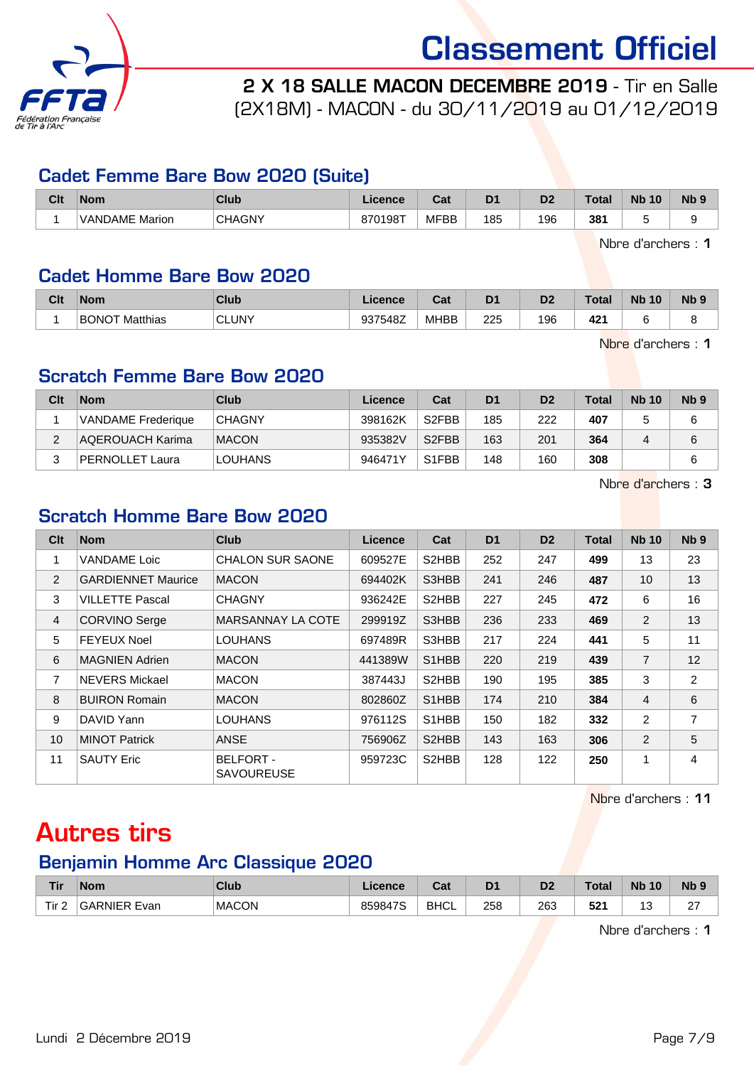

2 X 18 SALLE MACON DECEMBRE 2019 - Tir en Salle

(2X18M) - MACON - du 30/11/2019 au 01/12/2019

#### Cadet Femme Bare Bow 2020 (Suite)

| Clt | <b>Nom</b>            | <b>Club</b>   | Licence | <b>Post</b><br>ual | D <sub>1</sub><br>► | D <sub>2</sub> | <b>Total</b> | <b>N<sub>b</sub></b><br>10 | <b>N<sub>b</sub></b> |
|-----|-----------------------|---------------|---------|--------------------|---------------------|----------------|--------------|----------------------------|----------------------|
|     | <b>VANDAME Marion</b> | <b>CHAGNY</b> | 870198T | <b>MFBB</b>        | 185<br>__           | 196            | 381<br>$ -$  |                            |                      |

Nbre d'archers : 1

#### Cadet Homme Bare Bow 2020

| Clt | <b>Nom</b>               | Club         | <b>Licence</b> | $R_{\rm{min}}$<br>uα | D1  | D <sub>2</sub> | <b>Total</b> | <b>N<sub>b</sub></b><br>10 | N <sub>b</sub> <sub>9</sub> |
|-----|--------------------------|--------------|----------------|----------------------|-----|----------------|--------------|----------------------------|-----------------------------|
|     | <b>BONOT</b><br>Matthias | <b>CLUNY</b> | 937548Z        | <b>MHBB</b>          | 225 | 196            | 421          |                            |                             |

Nbre d'archers : 1

#### Scratch Femme Bare Bow 2020

| Clt | <b>Nom</b>                | Club           | Licence <sup>®</sup> | Cat                | D <sub>1</sub> | D <sub>2</sub> | Total | <b>Nb 10</b> | Nb <sub>9</sub> |
|-----|---------------------------|----------------|----------------------|--------------------|----------------|----------------|-------|--------------|-----------------|
|     | <b>VANDAME</b> Frederique | <b>CHAGNY</b>  | 398162K              | S <sub>2</sub> FBB | 185            | 222            | 407   |              |                 |
| ົ   | AQEROUACH Karima          | <b>MACON</b>   | 935382V              | S <sub>2</sub> FBB | 163            | 201            | 364   |              | 6               |
|     | PERNOLLET Laura           | <b>LOUHANS</b> | 946471Y              | S <sub>1</sub> FBB | 148            | 160            | 308   |              |                 |

Nbre d'archers : 3

#### Scratch Homme Bare Bow 2020

| Clt             | <b>Nom</b>                | <b>Club</b>                           | Licence | Cat                             | D <sub>1</sub> | D <sub>2</sub> | <b>Total</b> | <b>Nb 10</b>   | N <sub>b</sub> <sub>9</sub> |
|-----------------|---------------------------|---------------------------------------|---------|---------------------------------|----------------|----------------|--------------|----------------|-----------------------------|
| 1               | <b>VANDAME</b> Loic       | <b>CHALON SUR SAONE</b>               | 609527E | S2HBB                           | 252            | 247            | 499          | 13             | 23                          |
| 2               | <b>GARDIENNET Maurice</b> | <b>MACON</b>                          | 694402K | S3HBB                           | 241            | 246            | 487          | 10             | 13                          |
| 3               | <b>VILLETTE Pascal</b>    | <b>CHAGNY</b>                         | 936242E | S2HBB                           | 227            | 245            | 472          | 6              | 16                          |
| 4               | <b>CORVINO Serge</b>      | MARSANNAY LA COTE                     | 299919Z | S3HBB                           | 236            | 233            | 469          | 2              | 13                          |
| 5               | <b>FEYEUX Noel</b>        | <b>LOUHANS</b>                        | 697489R | S3HBB                           | 217            | 224            | 441          | 5              | 11                          |
| 6               | <b>MAGNIEN Adrien</b>     | <b>MACON</b>                          | 441389W | S1HBB                           | 220            | 219            | 439          | $\overline{7}$ | 12                          |
| 7               | <b>NEVERS Mickael</b>     | <b>MACON</b>                          | 387443J | S2HBB                           | 190            | 195            | 385          | 3              | $\overline{2}$              |
| 8               | <b>BUIRON Romain</b>      | <b>MACON</b>                          | 802860Z | S <sub>1</sub> H <sub>B</sub> B | 174            | 210            | 384          | $\overline{4}$ | 6                           |
| 9               | DAVID Yann                | <b>LOUHANS</b>                        | 976112S | S1HBB                           | 150            | 182            | 332          | 2              | 7                           |
| 10 <sup>1</sup> | <b>MINOT Patrick</b>      | <b>ANSE</b>                           | 756906Z | S2HBB                           | 143            | 163            | 306          | 2              | 5                           |
| 11              | <b>SAUTY Eric</b>         | <b>BELFORT -</b><br><b>SAVOUREUSE</b> | 959723C | S2HBB                           | 128            | 122            | 250          | 1              | 4                           |

Nbre d'archers : 11

### Autres tirs

#### Benjamin Homme Arc Classique 2020

| Tir              | <b>Nom</b>          | <b>Club</b>  | Licence | <b>Date</b><br>sal | D <sub>1</sub> | D <sub>2</sub> | <b>Total</b>       | <b>Nb</b><br>10 | <b>N<sub>b</sub></b> |
|------------------|---------------------|--------------|---------|--------------------|----------------|----------------|--------------------|-----------------|----------------------|
| Tir <sub>2</sub> | <b>GARNIER Evan</b> | <b>MACON</b> | 859847S | <b>BHCL</b>        | 258<br>__      | 263<br>__      | <b>E94</b><br>- 3∠ | u<br>$\sim$     | $\sim$<br>-          |

Nbre d'archers : 1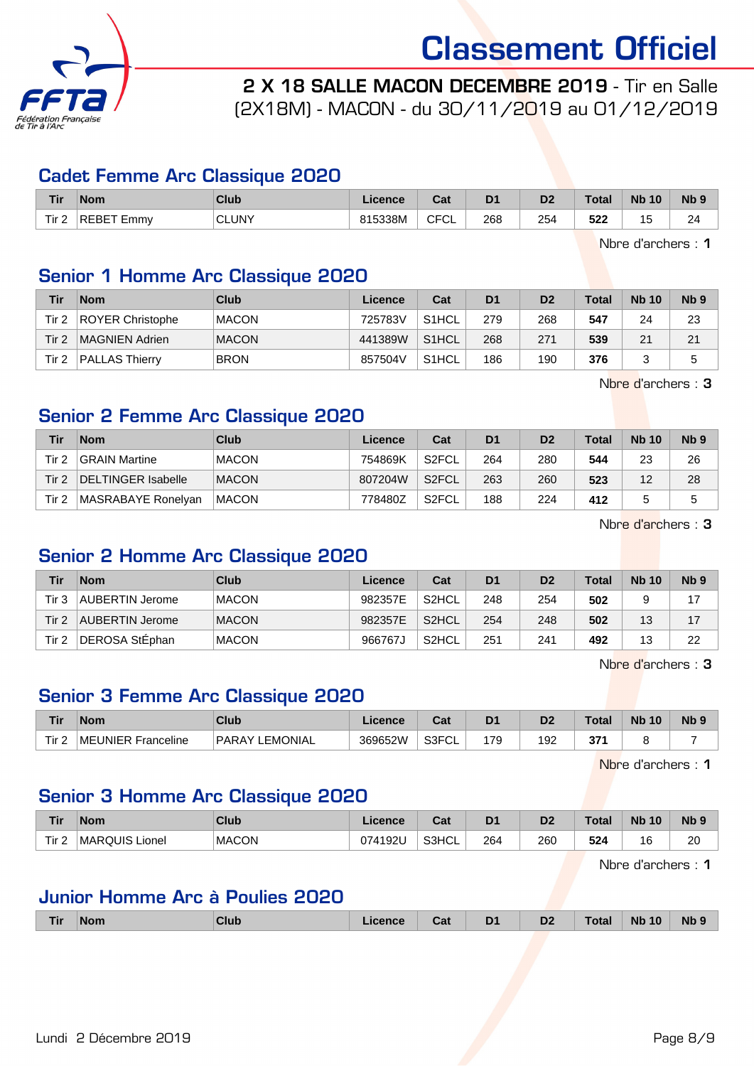

2 X 18 SALLE MACON DECEMBRE 2019 - Tir en Salle (2X18M) - MACON - du 30/11/2019 au 01/12/2019

#### Cadet Femme Arc Classique 2020

| Tir            | <b>Nom</b>         | Club                | Licence | $\sim$<br>uai   | D <sub>1</sub> | D <sub>2</sub> | Total      | <b>Nb</b><br>10           | <b>Nb</b> |
|----------------|--------------------|---------------------|---------|-----------------|----------------|----------------|------------|---------------------------|-----------|
| Tir.<br>_<br>- | 'DE.<br>BЕ<br>Emmy | <b>CLUNY</b><br>___ | 815338M | CECI<br>◡∟<br>◡ | 268<br>__      | 254<br>___     | よつつ<br>94∡ | -<br>-<br><br>ັ<br>$\sim$ | 24        |

Nbre d'archers : 1

#### Senior 1 Homme Arc Classique 2020

| Tir   | <b>Nom</b>              | <b>Club</b>  | Licence | Cat                | D1  | D <sub>2</sub> | <b>Total</b> | <b>Nb 10</b> | N <sub>b</sub> <sub>9</sub> |
|-------|-------------------------|--------------|---------|--------------------|-----|----------------|--------------|--------------|-----------------------------|
| Tir 2 | <b>ROYER Christophe</b> | <b>MACON</b> | 725783V | S1HCL              | 279 | 268            | 547          | 24           | 23                          |
| Tir 2 | MAGNIEN Adrien          | <b>MACON</b> | 441389W | S1HCL              | 268 | 271            | 539          | 21           | 21                          |
| Tir 2 | <b>PALLAS Thierry</b>   | <b>BRON</b>  | 857504V | S <sub>1</sub> HCL | 186 | 190            | 376          |              |                             |

Nbre d'archers : 3

#### Senior 2 Femme Arc Classique 2020

| Tir              | <b>Nom</b>         | Club         | Licence | Cat                | D <sub>1</sub> | D <sub>2</sub> | <b>Total</b> | <b>Nb 10</b> | N <sub>b</sub> <sub>9</sub> |
|------------------|--------------------|--------------|---------|--------------------|----------------|----------------|--------------|--------------|-----------------------------|
| Tir <sub>2</sub> | GRAIN Martine      | <b>MACON</b> | 754869K | S <sub>2</sub> FCL | 264            | 280            | 544          | 23           | 26                          |
| Tir 2            | DELTINGER Isabelle | <b>MACON</b> | 807204W | S <sub>2</sub> FCL | 263            | 260            | 523          | 12           | 28                          |
| Tir 2            | MASRABAYE Ronelyan | <b>MACON</b> | 778480Z | S <sub>2</sub> FCL | 188            | 224            | 412          |              | 5                           |

Nbre d'archers : 3

#### Senior 2 Homme Arc Classique 2020

| Tir   | <b>Nom</b>      | Club         | Licence | Cat                | D <sub>1</sub> | D <sub>2</sub> | Total | <b>Nb 10</b> | N <sub>b</sub> 9 |
|-------|-----------------|--------------|---------|--------------------|----------------|----------------|-------|--------------|------------------|
| Tir 3 | AUBERTIN Jerome | <b>MACON</b> | 982357E | S2HCL              | 248            | 254            | 502   |              | 17               |
| Tir 2 | AUBERTIN Jerome | <b>MACON</b> | 982357E | S <sub>2</sub> HCL | 254            | 248            | 502   | 13           | 17               |
| Tir 2 | DEROSA StÉphan  | <b>MACON</b> | 966767J | S2HCL              | 251            | 241            | 492   | 13           | 22               |

Nbre d'archers : 3

#### Senior 3 Femme Arc Classique 2020

| <b>Tir</b>    | <b>Nom</b>         | Club                            | Licence | <b>Dat</b><br>⊍م          | D <sub>1</sub> | D <sub>2</sub> | `otal      | <b>N<sub>b</sub></b><br>10 | $Nb$ $\in$ |
|---------------|--------------------|---------------------------------|---------|---------------------------|----------------|----------------|------------|----------------------------|------------|
| $T$ ir $\sim$ | MEUNIER Franceline | <b>LEMONIAL</b><br><b>PARAY</b> | 369652W | <b>GREAL</b><br>◡∟<br>וטט | 179            | 192            | ידפ<br>vı. |                            |            |

Nbre d'archers : 1

#### Senior 3 Homme Arc Classique 2020

| <b>Tir</b> | <b>Nom</b>            | <b>Club</b>  | Licence | Cot.<br>⊍aι | D <sub>1</sub> | D <sub>2</sub> | <b>Total</b> | <b>Nb</b><br>10 | N <sub>b</sub> <sub>9</sub> |
|------------|-----------------------|--------------|---------|-------------|----------------|----------------|--------------|-----------------|-----------------------------|
| Tir 2      | <b>MARQUIS Lionel</b> | <b>MACON</b> | 074192U | S3HCL       | 264            | 260            | 524          | 16              | 20<br>__                    |

Nbre d'archers : 1

### Junior Homme Arc à Poulies 2020

|  | Tir | <b>Nom</b> | Club | .icence | Cat | D <sub>1</sub><br>- | D <sub>2</sub> | <b>Total</b> | 10<br><b>N<sub>b</sub></b> | Nb <sub>9</sub> |
|--|-----|------------|------|---------|-----|---------------------|----------------|--------------|----------------------------|-----------------|
|--|-----|------------|------|---------|-----|---------------------|----------------|--------------|----------------------------|-----------------|